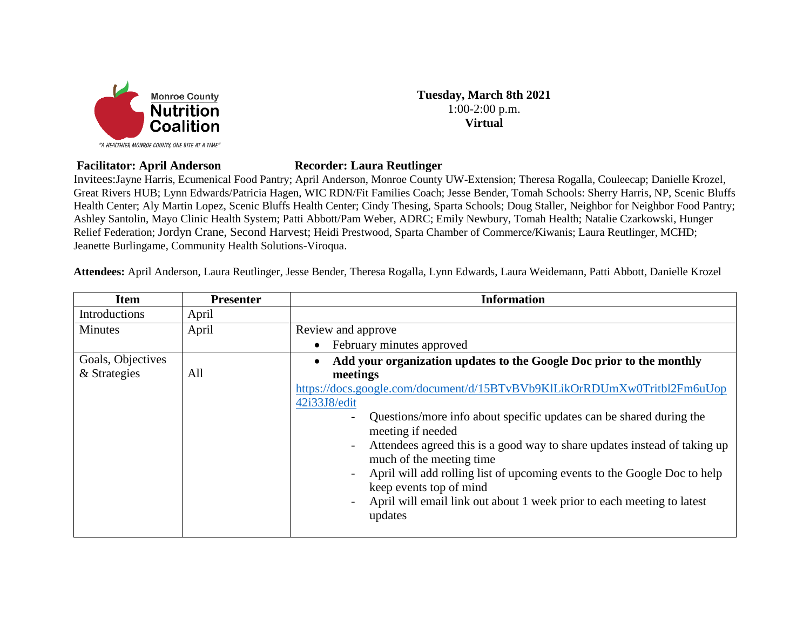

1:00-2:00 p.m. **Virtual**

**Tuesday, March 8th 2021**

## **Facilitator: April Anderson Recorder: Laura Reutlinger**

Invitees:Jayne Harris, Ecumenical Food Pantry; April Anderson, Monroe County UW-Extension; Theresa Rogalla, Couleecap; Danielle Krozel, Great Rivers HUB; Lynn Edwards/Patricia Hagen, WIC RDN/Fit Families Coach; Jesse Bender, Tomah Schools: Sherry Harris, NP, Scenic Bluffs Health Center; Aly Martin Lopez, Scenic Bluffs Health Center; Cindy Thesing, Sparta Schools; Doug Staller, Neighbor for Neighbor Food Pantry; Ashley Santolin, Mayo Clinic Health System; Patti Abbott/Pam Weber, ADRC; Emily Newbury, Tomah Health; Natalie Czarkowski, Hunger Relief Federation; Jordyn Crane, Second Harvest; Heidi Prestwood, Sparta Chamber of Commerce/Kiwanis; Laura Reutlinger, MCHD; Jeanette Burlingame, Community Health Solutions-Viroqua.

**Attendees:** April Anderson, Laura Reutlinger, Jesse Bender, Theresa Rogalla, Lynn Edwards, Laura Weidemann, Patti Abbott, Danielle Krozel

| <b>Item</b>       | <b>Presenter</b> | <b>Information</b>                                                                                                                |
|-------------------|------------------|-----------------------------------------------------------------------------------------------------------------------------------|
| Introductions     | April            |                                                                                                                                   |
| <b>Minutes</b>    | April            | Review and approve                                                                                                                |
|                   |                  | February minutes approved<br>$\bullet$                                                                                            |
| Goals, Objectives |                  | Add your organization updates to the Google Doc prior to the monthly<br>$\bullet$                                                 |
| & Strategies      | All              | meetings                                                                                                                          |
|                   |                  | https://docs.google.com/document/d/15BTvBVb9KlLikOrRDUmXw0Tritbl2Fm6uUop                                                          |
|                   |                  | 42i33J8/edit                                                                                                                      |
|                   |                  | Questions/more info about specific updates can be shared during the<br>$\overline{a}$                                             |
|                   |                  | meeting if needed                                                                                                                 |
|                   |                  | Attendees agreed this is a good way to share updates instead of taking up<br>$\overline{\phantom{a}}$<br>much of the meeting time |
|                   |                  | April will add rolling list of upcoming events to the Google Doc to help<br>$\overline{\phantom{a}}$                              |
|                   |                  | keep events top of mind                                                                                                           |
|                   |                  | April will email link out about 1 week prior to each meeting to latest<br>$\overline{\phantom{a}}$<br>updates                     |
|                   |                  |                                                                                                                                   |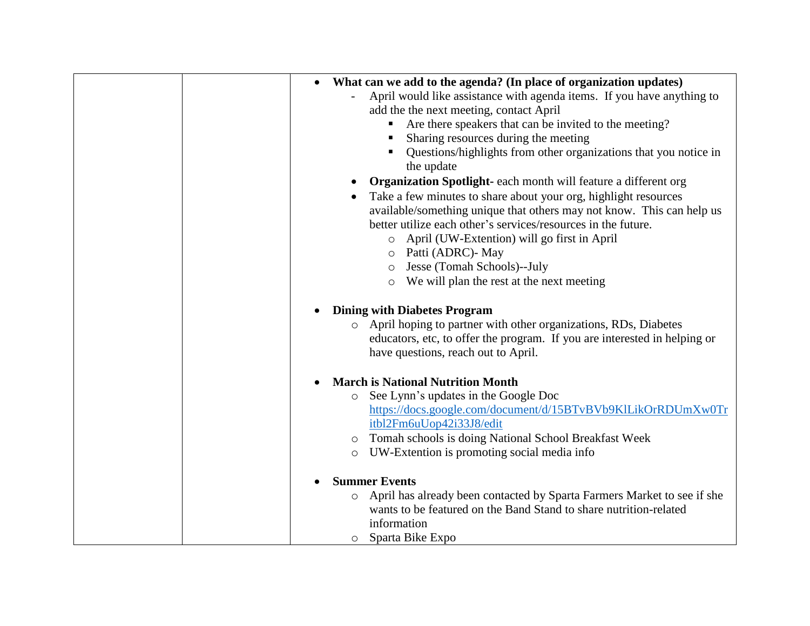| What can we add to the agenda? (In place of organization updates)              |
|--------------------------------------------------------------------------------|
| April would like assistance with agenda items. If you have anything to         |
| add the the next meeting, contact April                                        |
| Are there speakers that can be invited to the meeting?<br>Е                    |
| Sharing resources during the meeting<br>п                                      |
| Questions/highlights from other organizations that you notice in<br>the update |
| Organization Spotlight- each month will feature a different org                |
| Take a few minutes to share about your org, highlight resources                |
| available/something unique that others may not know. This can help us          |
| better utilize each other's services/resources in the future.                  |
| April (UW-Extention) will go first in April<br>$\circ$                         |
| Patti (ADRC) - May<br>$\circ$                                                  |
| Jesse (Tomah Schools)--July<br>$\circ$                                         |
| We will plan the rest at the next meeting<br>$\circ$                           |
|                                                                                |
| <b>Dining with Diabetes Program</b>                                            |
| o April hoping to partner with other organizations, RDs, Diabetes              |
| educators, etc, to offer the program. If you are interested in helping or      |
| have questions, reach out to April.                                            |
|                                                                                |
| <b>March is National Nutrition Month</b>                                       |
| See Lynn's updates in the Google Doc                                           |
| https://docs.google.com/document/d/15BTvBVb9KlLikOrRDUmXw0Tr                   |
| itbl2Fm6uUop42i33J8/edit                                                       |
| Tomah schools is doing National School Breakfast Week                          |
| UW-Extention is promoting social media info                                    |
|                                                                                |
| <b>Summer Events</b>                                                           |
| April has already been contacted by Sparta Farmers Market to see if she        |
| wants to be featured on the Band Stand to share nutrition-related              |
| information                                                                    |
| o Sparta Bike Expo                                                             |
| $\circ$<br>$\circ$<br>$\circ$                                                  |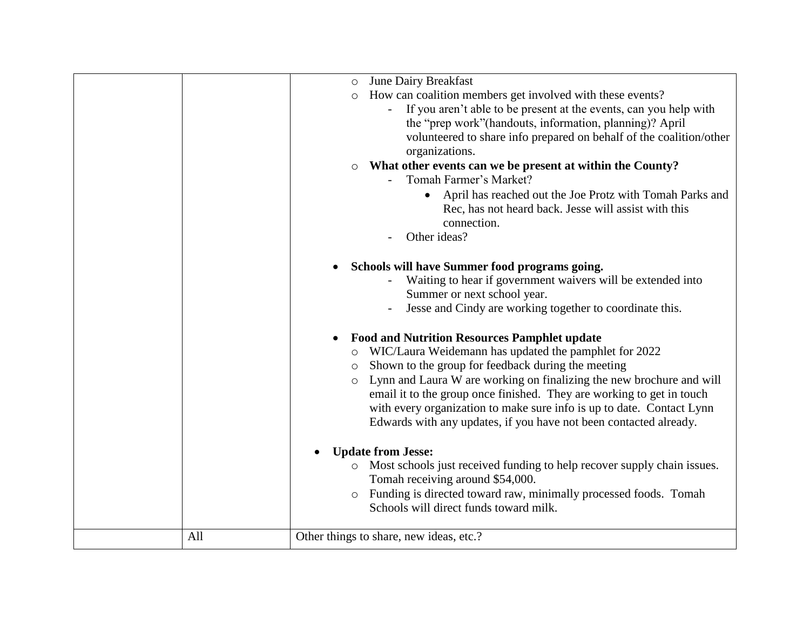|     | <b>June Dairy Breakfast</b><br>$\circ$<br>How can coalition members get involved with these events?<br>$\circ$<br>If you aren't able to be present at the events, can you help with<br>the "prep work" (handouts, information, planning)? April<br>volunteered to share info prepared on behalf of the coalition/other<br>organizations.<br>What other events can we be present at within the County?<br>$\circ$<br>Tomah Farmer's Market?<br>April has reached out the Joe Protz with Tomah Parks and<br>$\bullet$<br>Rec, has not heard back. Jesse will assist with this<br>connection.<br>Other ideas?<br>Schools will have Summer food programs going.<br>$\bullet$<br>Waiting to hear if government waivers will be extended into<br>Summer or next school year.<br>Jesse and Cindy are working together to coordinate this.<br><b>Food and Nutrition Resources Pamphlet update</b><br>WIC/Laura Weidemann has updated the pamphlet for 2022<br>Shown to the group for feedback during the meeting<br>$\circ$<br>Lynn and Laura W are working on finalizing the new brochure and will<br>$\circ$<br>email it to the group once finished. They are working to get in touch<br>with every organization to make sure info is up to date. Contact Lynn<br>Edwards with any updates, if you have not been contacted already.<br><b>Update from Jesse:</b><br>$\bullet$<br>Most schools just received funding to help recover supply chain issues.<br>Tomah receiving around \$54,000.<br>Funding is directed toward raw, minimally processed foods. Tomah<br>Schools will direct funds toward milk. |
|-----|------------------------------------------------------------------------------------------------------------------------------------------------------------------------------------------------------------------------------------------------------------------------------------------------------------------------------------------------------------------------------------------------------------------------------------------------------------------------------------------------------------------------------------------------------------------------------------------------------------------------------------------------------------------------------------------------------------------------------------------------------------------------------------------------------------------------------------------------------------------------------------------------------------------------------------------------------------------------------------------------------------------------------------------------------------------------------------------------------------------------------------------------------------------------------------------------------------------------------------------------------------------------------------------------------------------------------------------------------------------------------------------------------------------------------------------------------------------------------------------------------------------------------------------------------------------------------------------------------|
|     |                                                                                                                                                                                                                                                                                                                                                                                                                                                                                                                                                                                                                                                                                                                                                                                                                                                                                                                                                                                                                                                                                                                                                                                                                                                                                                                                                                                                                                                                                                                                                                                                      |
| All | Other things to share, new ideas, etc.?                                                                                                                                                                                                                                                                                                                                                                                                                                                                                                                                                                                                                                                                                                                                                                                                                                                                                                                                                                                                                                                                                                                                                                                                                                                                                                                                                                                                                                                                                                                                                              |